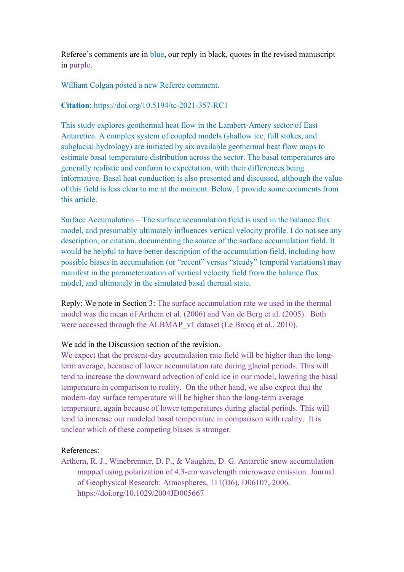Referee's comments are in blue, our reply in black, quotes in the revised manuscript in purple.

## William Colgan posted a new Referee comment.

#### Citation: https://doi.org/10.5194/tc-2021-357-RC1

This study explores geothermal heat flow in the Lambert-Amery sector of East Antarctica. A complex system of coupled models (shallow ice, full stokes, and subglacial hydrology) are initiated by six available geothermal heat flow maps to estimate basal temperature distribution across the sector. The basal temperatures are generally realistic and conform to expectation, with their differences being informative. Basal heat conduction is also presented and discussed, although the value of this field is less clear to me at the moment. Below, I provide some comments from this article.

Surface Accumulation – The surface accumulation field is used in the balance flux model, and presumably ultimately influences vertical velocity profile. I do not see any description, or citation, documenting the source of the surface accumulation field. It would be helpful to have better description of the accumulation field, including how possible biases in accumulation (or "recent" versus "steady" temporal variations) may manifest in the parameterization of vertical velocity field from the balance flux model, and ultimately in the simulated basal thermal state.

Reply: We note in Section 3: The surface accumulation rate we used in the thermal model was the mean of Arthern et al. (2006) and Van de Berg et al. (2005). Both were accessed through the ALBMAP v1 dataset (Le Brocq et al., 2010).

### We add in the Discussion section of the revision.

We expect that the present-day accumulation rate field will be higher than the longterm average, because of lower accumulation rate during glacial periods. This will tend to increase the downward advection of cold ice in our model, lowering the basal temperature in comparison to reality. On the other hand, we also expect that the modern-day surface temperature will be higher than the long-term average temperature, again because of lower temperatures during glacial periods. This will tend to increase our modeled basal temperature in comparison with reality. It is unclear which of these competing biases is stronger.

# References:

Arthern, R. J., Winebrenner, D. P., & Vaughan, D. G. Antarctic snow accumulation mapped using polarization of 4.3-cm wavelength microwave emission. Journal of Geophysical Research: Atmospheres, 111(D6), D06107, 2006. https://doi.org/10.1029/2004JD005667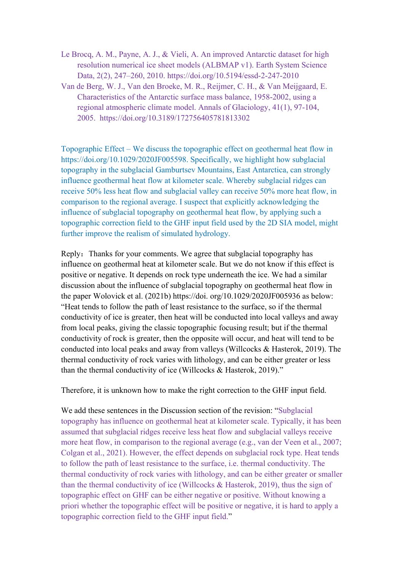- Le Brocq, A. M., Payne, A. J., & Vieli, A. An improved Antarctic dataset for high resolution numerical ice sheet models (ALBMAP v1). Earth System Science Data, 2(2), 247–260, 2010. https://doi.org/10.5194/essd-2-247-2010
- Van de Berg, W. J., Van den Broeke, M. R., Reijmer, C. H., & Van Meijgaard, E. Characteristics of the Antarctic surface mass balance, 1958-2002, using a regional atmospheric climate model. Annals of Glaciology, 41(1), 97-104, 2005. https://doi.org/10.3189/172756405781813302

Topographic Effect – We discuss the topographic effect on geothermal heat flow in https://doi.org/10.1029/2020JF005598. Specifically, we highlight how subglacial topography in the subglacial Gamburtsev Mountains, East Antarctica, can strongly influence geothermal heat flow at kilometer scale. Whereby subglacial ridges can receive 50% less heat flow and subglacial valley can receive 50% more heat flow, in comparison to the regional average. I suspect that explicitly acknowledging the influence of subglacial topography on geothermal heat flow, by applying such a topographic correction field to the GHF input field used by the 2D SIA model, might further improve the realism of simulated hydrology.

Reply: Thanks for your comments. We agree that subglacial topography has influence on geothermal heat at kilometer scale. But we do not know if this effect is positive or negative. It depends on rock type underneath the ice. We had a similar discussion about the influence of subglacial topography on geothermal heat flow in the paper Wolovick et al. (2021b) https://doi. org/10.1029/2020JF005936 as below: "Heat tends to follow the path of least resistance to the surface, so if the thermal conductivity of ice is greater, then heat will be conducted into local valleys and away from local peaks, giving the classic topographic focusing result; but if the thermal conductivity of rock is greater, then the opposite will occur, and heat will tend to be conducted into local peaks and away from valleys (Willcocks & Hasterok, 2019). The thermal conductivity of rock varies with lithology, and can be either greater or less than the thermal conductivity of ice (Willcocks & Hasterok, 2019)."

Therefore, it is unknown how to make the right correction to the GHF input field.

We add these sentences in the Discussion section of the revision: "Subglacial topography has influence on geothermal heat at kilometer scale. Typically, it has been assumed that subglacial ridges receive less heat flow and subglacial valleys receive more heat flow, in comparison to the regional average (e.g., van der Veen et al., 2007; Colgan et al., 2021). However, the effect depends on subglacial rock type. Heat tends to follow the path of least resistance to the surface, i.e. thermal conductivity. The thermal conductivity of rock varies with lithology, and can be either greater or smaller than the thermal conductivity of ice (Willcocks & Hasterok, 2019), thus the sign of topographic effect on GHF can be either negative or positive. Without knowing a priori whether the topographic effect will be positive or negative, it is hard to apply a topographic correction field to the GHF input field."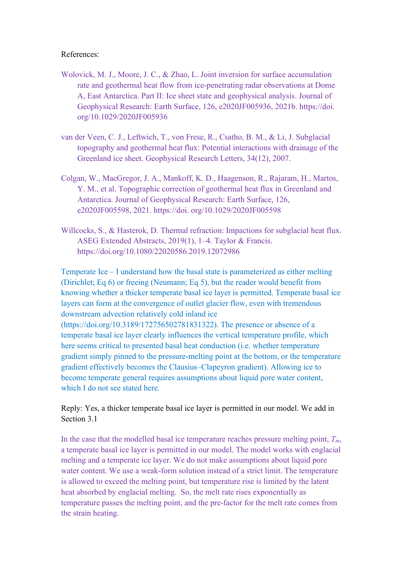# References:

- Wolovick, M. J., Moore, J. C., & Zhao, L. Joint inversion for surface accumulation rate and geothermal heat flow from ice-penetrating radar observations at Dome A, East Antarctica. Part II: Ice sheet state and geophysical analysis. Journal of Geophysical Research: Earth Surface, 126, e2020JF005936, 2021b. https://doi. org/10.1029/2020JF005936
- van der Veen, C. J., Leftwich, T., von Frese, R., Csatho, B. M., & Li, J. Subglacial topography and geothermal heat flux: Potential interactions with drainage of the Greenland ice sheet. Geophysical Research Letters, 34(12), 2007.
- Colgan, W., MacGregor, J. A., Mankoff, K. D., Haagenson, R., Rajaram, H., Martos, Y. M., et al. Topographic correction of geothermal heat flux in Greenland and Antarctica. Journal of Geophysical Research: Earth Surface, 126, e2020JF005598, 2021. https://doi. org/10.1029/2020JF005598
- Willcocks, S., & Hasterok, D. Thermal refraction: Impactions for subglacial heat flux. ASEG Extended Abstracts, 2019(1), 1–4. Taylor & Francis. https://doi.org/10.1080/22020586.2019.12072986

Temperate Ice – I understand how the basal state is parameterized as either melting (Dirichlet; Eq 6) or freeing (Neumann; Eq 5), but the reader would benefit from knowing whether a thicker temperate basal ice layer is permitted. Temperate basal ice layers can form at the convergence of outlet glacier flow, even with tremendous downstream advection relatively cold inland ice (https://doi.org/10.3189/172756502781831322). The presence or absence of a temperate basal ice layer clearly influences the vertical temperature profile, which here seems critical to presented basal heat conduction (i.e. whether temperature gradient simply pinned to the pressure-melting point at the bottom, or the temperature gradient effectively becomes the Clausius–Clapeyron gradient). Allowing ice to become temperate general requires assumptions about liquid pore water content, which I do not see stated here.

Reply: Yes, a thicker temperate basal ice layer is permitted in our model. We add in Section 3.1

In the case that the modelled basal ice temperature reaches pressure melting point,  $T_m$ , a temperate basal ice layer is permitted in our model. The model works with englacial melting and a temperate ice layer. We do not make assumptions about liquid pore water content. We use a weak-form solution instead of a strict limit. The temperature is allowed to exceed the melting point, but temperature rise is limited by the latent heat absorbed by englacial melting. So, the melt rate rises exponentially as temperature passes the melting point, and the pre-factor for the melt rate comes from the strain heating.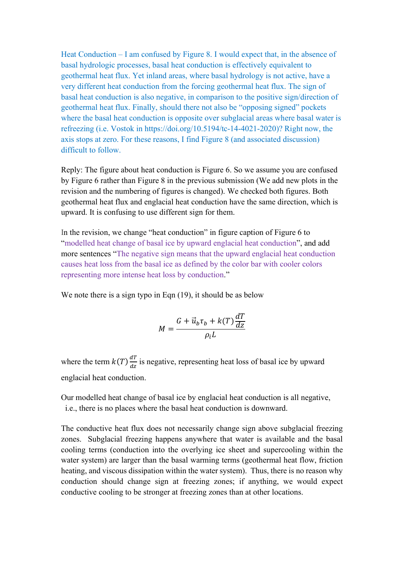Heat Conduction – I am confused by Figure 8. I would expect that, in the absence of basal hydrologic processes, basal heat conduction is effectively equivalent to geothermal heat flux. Yet inland areas, where basal hydrology is not active, have a very different heat conduction from the forcing geothermal heat flux. The sign of basal heat conduction is also negative, in comparison to the positive sign/direction of geothermal heat flux. Finally, should there not also be "opposing signed" pockets where the basal heat conduction is opposite over subglacial areas where basal water is refreezing (i.e. Vostok in https://doi.org/10.5194/tc-14-4021-2020)? Right now, the axis stops at zero. For these reasons, I find Figure 8 (and associated discussion) difficult to follow.

Reply: The figure about heat conduction is Figure 6. So we assume you are confused by Figure 6 rather than Figure 8 in the previous submission (We add new plots in the revision and the numbering of figures is changed). We checked both figures. Both geothermal heat flux and englacial heat conduction have the same direction, which is upward. It is confusing to use different sign for them.

In the revision, we change "heat conduction" in figure caption of Figure 6 to "modelled heat change of basal ice by upward englacial heat conduction", and add more sentences "The negative sign means that the upward englacial heat conduction causes heat loss from the basal ice as defined by the color bar with cooler colors representing more intense heat loss by conduction."

We note there is a sign typo in Eqn (19), it should be as below

$$
M = \frac{G + \vec{u}_b \tau_b + k(T) \frac{dT}{dz}}{\rho_i L}
$$

where the term  $k(T) \frac{dT}{dr}$  $\frac{du}{dz}$  is negative, representing heat loss of basal ice by upward englacial heat conduction.

Our modelled heat change of basal ice by englacial heat conduction is all negative, i.e., there is no places where the basal heat conduction is downward.

The conductive heat flux does not necessarily change sign above subglacial freezing zones. Subglacial freezing happens anywhere that water is available and the basal cooling terms (conduction into the overlying ice sheet and supercooling within the water system) are larger than the basal warming terms (geothermal heat flow, friction heating, and viscous dissipation within the water system). Thus, there is no reason why conduction should change sign at freezing zones; if anything, we would expect conductive cooling to be stronger at freezing zones than at other locations.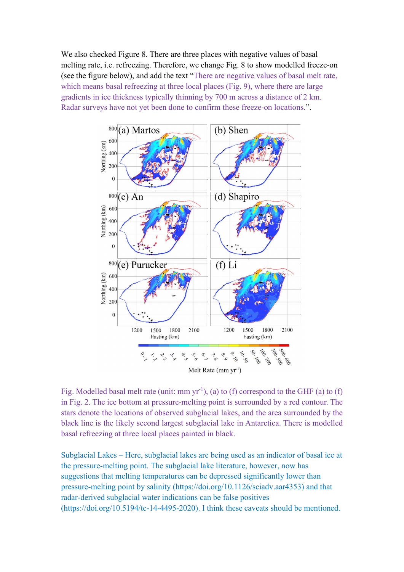We also checked Figure 8. There are three places with negative values of basal melting rate, i.e. refreezing. Therefore, we change Fig. 8 to show modelled freeze-on (see the figure below), and add the text "There are negative values of basal melt rate, which means basal refreezing at three local places (Fig. 9), where there are large gradients in ice thickness typically thinning by 700 m across a distance of 2 km. Radar surveys have not yet been done to confirm these freeze-on locations.".



Fig. Modelled basal melt rate (unit: mm  $yr^{-1}$ ), (a) to (f) correspond to the GHF (a) to (f) in Fig. 2. The ice bottom at pressure-melting point is surrounded by a red contour. The stars denote the locations of observed subglacial lakes, and the area surrounded by the black line is the likely second largest subglacial lake in Antarctica. There is modelled basal refreezing at three local places painted in black.

Subglacial Lakes – Here, subglacial lakes are being used as an indicator of basal ice at the pressure-melting point. The subglacial lake literature, however, now has suggestions that melting temperatures can be depressed significantly lower than pressure-melting point by salinity (https://doi.org/10.1126/sciadv.aar4353) and that radar-derived subglacial water indications can be false positives (https://doi.org/10.5194/tc-14-4495-2020). I think these caveats should be mentioned.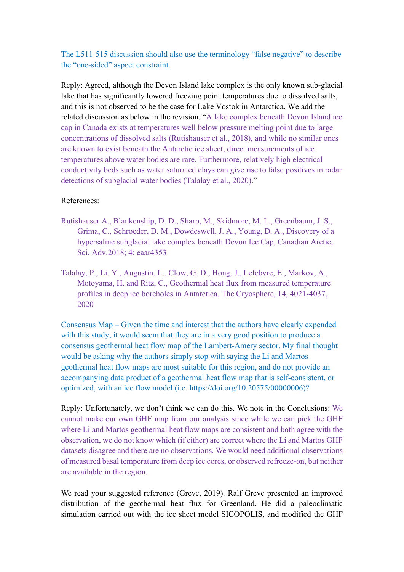The L511-515 discussion should also use the terminology "false negative" to describe the "one-sided" aspect constraint.

Reply: Agreed, although the Devon Island lake complex is the only known sub-glacial lake that has significantly lowered freezing point temperatures due to dissolved salts, and this is not observed to be the case for Lake Vostok in Antarctica. We add the related discussion as below in the revision. "A lake complex beneath Devon Island ice cap in Canada exists at temperatures well below pressure melting point due to large concentrations of dissolved salts (Rutishauser et al., 2018), and while no similar ones are known to exist beneath the Antarctic ice sheet, direct measurements of ice temperatures above water bodies are rare. Furthermore, relatively high electrical conductivity beds such as water saturated clays can give rise to false positives in radar detections of subglacial water bodies (Talalay et al., 2020)."

#### References:

- Rutishauser A., Blankenship, D. D., Sharp, M., Skidmore, M. L., Greenbaum, J. S., Grima, C., Schroeder, D. M., Dowdeswell, J. A., Young, D. A., Discovery of a hypersaline subglacial lake complex beneath Devon Ice Cap, Canadian Arctic, Sci. Adv.2018; 4: eaar4353
- Talalay, P., Li, Y., Augustin, L., Clow, G. D., Hong, J., Lefebvre, E., Markov, A., Motoyama, H. and Ritz, C., Geothermal heat flux from measured temperature profiles in deep ice boreholes in Antarctica, The Cryosphere, 14, 4021-4037, 2020

Consensus Map – Given the time and interest that the authors have clearly expended with this study, it would seem that they are in a very good position to produce a consensus geothermal heat flow map of the Lambert-Amery sector. My final thought would be asking why the authors simply stop with saying the Li and Martos geothermal heat flow maps are most suitable for this region, and do not provide an accompanying data product of a geothermal heat flow map that is self-consistent, or optimized, with an ice flow model (i.e. https://doi.org/10.20575/00000006)?

Reply: Unfortunately, we don't think we can do this. We note in the Conclusions: We cannot make our own GHF map from our analysis since while we can pick the GHF where Li and Martos geothermal heat flow maps are consistent and both agree with the observation, we do not know which (if either) are correct where the Li and Martos GHF datasets disagree and there are no observations. We would need additional observations of measured basal temperature from deep ice cores, or observed refreeze-on, but neither are available in the region.

We read your suggested reference (Greve, 2019). Ralf Greve presented an improved distribution of the geothermal heat flux for Greenland. He did a paleoclimatic simulation carried out with the ice sheet model SICOPOLIS, and modified the GHF